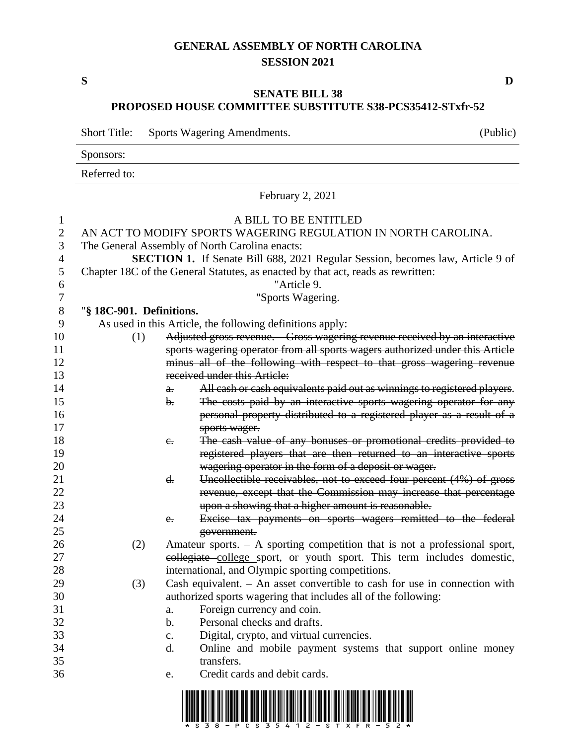## **GENERAL ASSEMBLY OF NORTH CAROLINA SESSION 2021**

## **SENATE BILL 38 PROPOSED HOUSE COMMITTEE SUBSTITUTE S38-PCS35412-STxfr-52**

Short Title: Sports Wagering Amendments. (Public)

Sponsors: Referred to: February 2, 2021 A BILL TO BE ENTITLED AN ACT TO MODIFY SPORTS WAGERING REGULATION IN NORTH CAROLINA. The General Assembly of North Carolina enacts: **SECTION 1.** If Senate Bill 688, 2021 Regular Session, becomes law, Article 9 of<br>5 Chapter 18C of the General Statutes, as enacted by that act, reads as rewritten: Chapter 18C of the General Statutes, as enacted by that act, reads as rewritten: "Article 9. "Sports Wagering. "**§ 18C-901. Definitions.** As used in this Article, the following definitions apply: (1) Adjusted gross revenue. – Gross wagering revenue received by an interactive sports wagering operator from all sports wagers authorized under this Article minus all of the following with respect to that gross wagering revenue received under this Article: **a.** All cash or cash equivalents paid out as winnings to registered players. 15 b. The costs paid by an interactive sports wagering operator for any personal property distributed to a registered player as a result of a sports wager. **18 c.** The cash value of any bonuses or promotional credits provided to registered players that are then returned to an interactive sports wagering operator in the form of a deposit or wager. 21 d. Uncollectible receivables, not to exceed four percent (4%) of gross revenue, except that the Commission may increase that percentage upon a showing that a higher amount is reasonable. e. Excise tax payments on sports wagers remitted to the federal government. (2) Amateur sports. – A sporting competition that is not a professional sport, collegiate college sport, or youth sport. This term includes domestic, international, and Olympic sporting competitions. (3) Cash equivalent. – An asset convertible to cash for use in connection with authorized sports wagering that includes all of the following: a. Foreign currency and coin. b. Personal checks and drafts. c. Digital, crypto, and virtual currencies. d. Online and mobile payment systems that support online money transfers. e. Credit cards and debit cards.



**S D**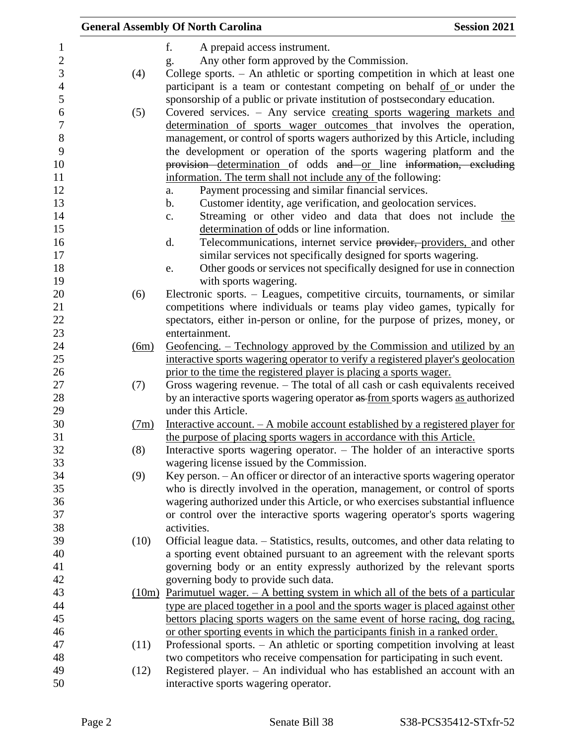|      | <b>General Assembly Of North Carolina</b>                                               | <b>Session 2021</b> |
|------|-----------------------------------------------------------------------------------------|---------------------|
|      | f.<br>A prepaid access instrument.                                                      |                     |
|      | Any other form approved by the Commission.<br>g.                                        |                     |
| (4)  | College sports. - An athletic or sporting competition in which at least one             |                     |
|      | participant is a team or contestant competing on behalf of or under the                 |                     |
|      | sponsorship of a public or private institution of postsecondary education.              |                     |
| (5)  | Covered services. - Any service creating sports wagering markets and                    |                     |
|      | determination of sports wager outcomes that involves the operation,                     |                     |
|      | management, or control of sports wagers authorized by this Article, including           |                     |
|      |                                                                                         |                     |
|      | the development or operation of the sports wagering platform and the                    |                     |
|      | provision determination of odds and or line information, excluding                      |                     |
|      | information. The term shall not include any of the following:                           |                     |
|      | Payment processing and similar financial services.<br>a.                                |                     |
|      | Customer identity, age verification, and geolocation services.<br>b.                    |                     |
|      | Streaming or other video and data that does not include the<br>c.                       |                     |
|      | determination of odds or line information.                                              |                     |
|      | Telecommunications, internet service provider, providers, and other<br>d.               |                     |
|      | similar services not specifically designed for sports wagering.                         |                     |
|      | Other goods or services not specifically designed for use in connection<br>e.           |                     |
|      | with sports wagering.                                                                   |                     |
| (6)  | Electronic sports. – Leagues, competitive circuits, tournaments, or similar             |                     |
|      | competitions where individuals or teams play video games, typically for                 |                     |
|      | spectators, either in-person or online, for the purpose of prizes, money, or            |                     |
|      | entertainment.                                                                          |                     |
| (6m) | Geofencing. – Technology approved by the Commission and utilized by an                  |                     |
|      | interactive sports wagering operator to verify a registered player's geolocation        |                     |
|      | prior to the time the registered player is placing a sports wager.                      |                     |
| (7)  | Gross wagering revenue. – The total of all cash or cash equivalents received            |                     |
|      | by an interactive sports wagering operator as from sports wagers as authorized          |                     |
|      | under this Article.                                                                     |                     |
| (7m) | Interactive account. $- A$ mobile account established by a registered player for        |                     |
|      | the purpose of placing sports wagers in accordance with this Article.                   |                     |
| (8)  | Interactive sports wagering operator. $-$ The holder of an interactive sports           |                     |
|      | wagering license issued by the Commission.                                              |                     |
| (9)  | Key person. - An officer or director of an interactive sports wagering operator         |                     |
|      | who is directly involved in the operation, management, or control of sports             |                     |
|      | wagering authorized under this Article, or who exercises substantial influence          |                     |
|      | or control over the interactive sports wagering operator's sports wagering              |                     |
|      | activities.                                                                             |                     |
| (10) | Official league data. – Statistics, results, outcomes, and other data relating to       |                     |
|      | a sporting event obtained pursuant to an agreement with the relevant sports             |                     |
|      | governing body or an entity expressly authorized by the relevant sports                 |                     |
|      | governing body to provide such data.                                                    |                     |
|      | $(10m)$ Parimutuel wager. $-$ A betting system in which all of the bets of a particular |                     |
|      | type are placed together in a pool and the sports wager is placed against other         |                     |
|      | bettors placing sports wagers on the same event of horse racing, dog racing,            |                     |
|      | or other sporting events in which the participants finish in a ranked order.            |                     |
| (11) | Professional sports. - An athletic or sporting competition involving at least           |                     |
|      | two competitors who receive compensation for participating in such event.               |                     |
| (12) | Registered player. - An individual who has established an account with an               |                     |
|      | interactive sports wagering operator.                                                   |                     |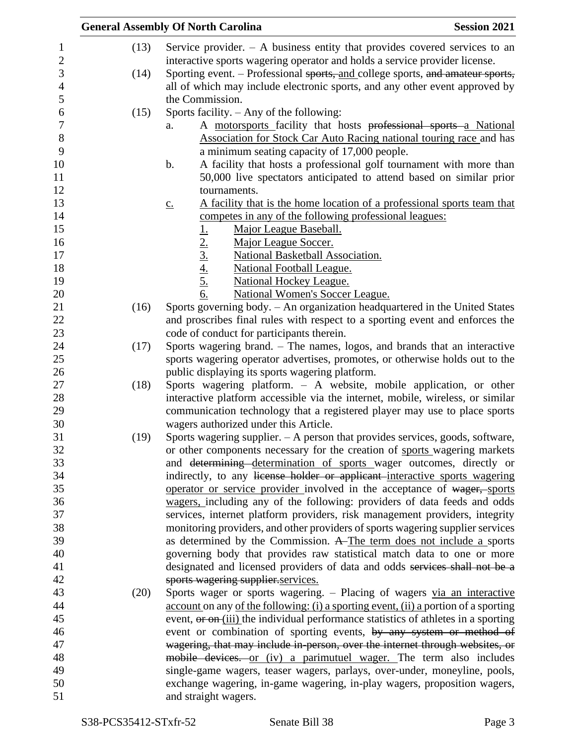|      | <b>General Assembly Of North Carolina</b><br><b>Session 2021</b>                                          |
|------|-----------------------------------------------------------------------------------------------------------|
| (13) | Service provider. $-$ A business entity that provides covered services to an                              |
|      | interactive sports wagering operator and holds a service provider license.                                |
| (14) | Sporting event. – Professional sports, and college sports, and amateur sports,                            |
|      | all of which may include electronic sports, and any other event approved by                               |
|      | the Commission.                                                                                           |
| (15) | Sports facility. $-$ Any of the following:                                                                |
|      | A motorsports facility that hosts professional sports a National<br>a.                                    |
|      | Association for Stock Car Auto Racing national touring race and has                                       |
|      | a minimum seating capacity of 17,000 people.                                                              |
|      | A facility that hosts a professional golf tournament with more than<br>b.                                 |
|      | 50,000 live spectators anticipated to attend based on similar prior                                       |
|      | tournaments.                                                                                              |
|      | A facility that is the home location of a professional sports team that<br>$\underline{C}$ .              |
|      | competes in any of the following professional leagues:                                                    |
|      | Major League Baseball.                                                                                    |
|      | $\frac{1}{2}$<br>$\frac{2}{3}$<br>$\frac{4}{4}$<br>$\frac{5}{5}$<br>$\frac{6}{6}$<br>Major League Soccer. |
|      | National Basketball Association.                                                                          |
|      | <b>National Football League.</b>                                                                          |
|      | <b>National Hockey League.</b>                                                                            |
|      | <b>National Women's Soccer League.</b>                                                                    |
| (16) | Sports governing body. - An organization headquartered in the United States                               |
|      | and proscribes final rules with respect to a sporting event and enforces the                              |
|      | code of conduct for participants therein.                                                                 |
| (17) | Sports wagering brand. - The names, logos, and brands that an interactive                                 |
|      | sports wagering operator advertises, promotes, or otherwise holds out to the                              |
|      | public displaying its sports wagering platform.                                                           |
| (18) | Sports wagering platform. - A website, mobile application, or other                                       |
|      | interactive platform accessible via the internet, mobile, wireless, or similar                            |
|      | communication technology that a registered player may use to place sports                                 |
|      | wagers authorized under this Article.                                                                     |
| (19) | Sports wagering supplier. - A person that provides services, goods, software,                             |
|      | or other components necessary for the creation of sports wagering markets                                 |
|      | and <del>determining determination of sports</del> wager outcomes, directly or                            |
|      | indirectly, to any license holder or applicant interactive sports wagering                                |
|      | operator or service provider involved in the acceptance of wager, sports                                  |
|      | wagers, including any of the following: providers of data feeds and odds                                  |
|      | services, internet platform providers, risk management providers, integrity                               |
|      | monitoring providers, and other providers of sports wagering supplier services                            |
|      | as determined by the Commission. A The term does not include a sports                                     |
|      | governing body that provides raw statistical match data to one or more                                    |
|      | designated and licensed providers of data and odds services shall not be a                                |
|      | sports wagering supplier.services.                                                                        |
| (20) | Sports wager or sports wagering. - Placing of wagers via an interactive                                   |
|      | account on any of the following: (i) a sporting event, (ii) a portion of a sporting                       |
|      | event, or on-(iii) the individual performance statistics of athletes in a sporting                        |
|      | event or combination of sporting events, by any system or method of                                       |
|      | wagering, that may include in person, over the internet through websites, or                              |
|      | mobile devices. or (iv) a parimutuel wager. The term also includes                                        |
|      | single-game wagers, teaser wagers, parlays, over-under, moneyline, pools,                                 |
|      | exchange wagering, in-game wagering, in-play wagers, proposition wagers,                                  |
|      | and straight wagers.                                                                                      |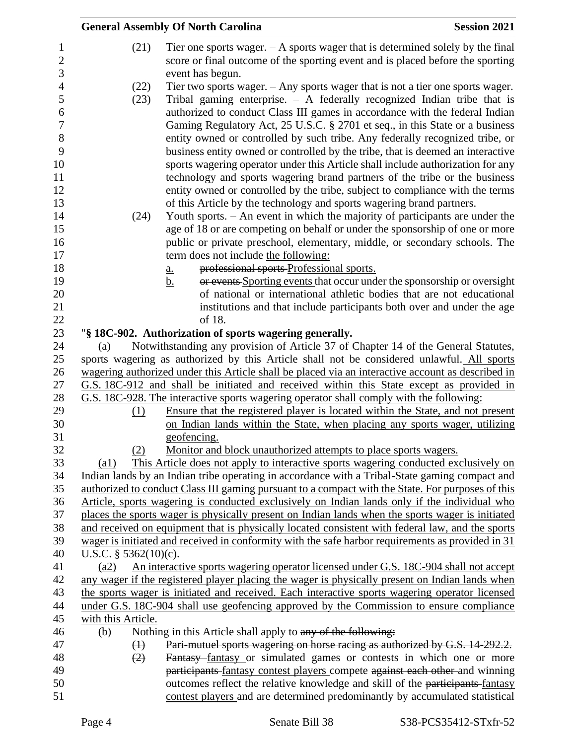|                                            |                          | <b>General Assembly Of North Carolina</b>                                                                                                                                                                                                                                                                                                                                                                                                                                                  | <b>Session 2021</b> |
|--------------------------------------------|--------------------------|--------------------------------------------------------------------------------------------------------------------------------------------------------------------------------------------------------------------------------------------------------------------------------------------------------------------------------------------------------------------------------------------------------------------------------------------------------------------------------------------|---------------------|
| $\mathbf{1}$<br>$\overline{2}$             | (21)                     | Tier one sports wager. $- A$ sports wager that is determined solely by the final<br>score or final outcome of the sporting event and is placed before the sporting                                                                                                                                                                                                                                                                                                                         |                     |
| 3                                          |                          | event has begun.                                                                                                                                                                                                                                                                                                                                                                                                                                                                           |                     |
| $\overline{4}$<br>5<br>6<br>$\overline{7}$ | (22)<br>(23)             | Tier two sports wager. $-$ Any sports wager that is not a tier one sports wager.<br>Tribal gaming enterprise. $-$ A federally recognized Indian tribe that is<br>authorized to conduct Class III games in accordance with the federal Indian<br>Gaming Regulatory Act, 25 U.S.C. § 2701 et seq., in this State or a business                                                                                                                                                               |                     |
| 8<br>9<br>10<br>11<br>12<br>13             |                          | entity owned or controlled by such tribe. Any federally recognized tribe, or<br>business entity owned or controlled by the tribe, that is deemed an interactive<br>sports wagering operator under this Article shall include authorization for any<br>technology and sports wagering brand partners of the tribe or the business<br>entity owned or controlled by the tribe, subject to compliance with the terms<br>of this Article by the technology and sports wagering brand partners. |                     |
| 14                                         | (24)                     | Youth sports. - An event in which the majority of participants are under the                                                                                                                                                                                                                                                                                                                                                                                                               |                     |
| 15                                         |                          | age of 18 or are competing on behalf or under the sponsorship of one or more                                                                                                                                                                                                                                                                                                                                                                                                               |                     |
| 16                                         |                          | public or private preschool, elementary, middle, or secondary schools. The                                                                                                                                                                                                                                                                                                                                                                                                                 |                     |
| 17                                         |                          | term does not include the following:                                                                                                                                                                                                                                                                                                                                                                                                                                                       |                     |
| 18                                         |                          | professional sports-Professional sports.<br><u>a.</u>                                                                                                                                                                                                                                                                                                                                                                                                                                      |                     |
| 19                                         |                          | or events Sporting events that occur under the sponsorship or oversight<br><u>b.</u>                                                                                                                                                                                                                                                                                                                                                                                                       |                     |
| 20                                         |                          | of national or international athletic bodies that are not educational                                                                                                                                                                                                                                                                                                                                                                                                                      |                     |
| 21                                         |                          | institutions and that include participants both over and under the age                                                                                                                                                                                                                                                                                                                                                                                                                     |                     |
| 22                                         |                          | of 18.                                                                                                                                                                                                                                                                                                                                                                                                                                                                                     |                     |
| 23                                         |                          | "§ 18C-902. Authorization of sports wagering generally.                                                                                                                                                                                                                                                                                                                                                                                                                                    |                     |
| 24                                         | (a)                      | Notwithstanding any provision of Article 37 of Chapter 14 of the General Statutes,                                                                                                                                                                                                                                                                                                                                                                                                         |                     |
| 25                                         |                          | sports wagering as authorized by this Article shall not be considered unlawful. All sports                                                                                                                                                                                                                                                                                                                                                                                                 |                     |
| 26                                         |                          | wagering authorized under this Article shall be placed via an interactive account as described in                                                                                                                                                                                                                                                                                                                                                                                          |                     |
| 27                                         |                          | G.S. 18C-912 and shall be initiated and received within this State except as provided in                                                                                                                                                                                                                                                                                                                                                                                                   |                     |
| 28                                         |                          | G.S. 18C-928. The interactive sports wagering operator shall comply with the following:                                                                                                                                                                                                                                                                                                                                                                                                    |                     |
| 29<br>30                                   | (1)                      | Ensure that the registered player is located within the State, and not present                                                                                                                                                                                                                                                                                                                                                                                                             |                     |
| 31                                         |                          | on Indian lands within the State, when placing any sports wager, utilizing<br>geofencing.                                                                                                                                                                                                                                                                                                                                                                                                  |                     |
| 32                                         | (2)                      | Monitor and block unauthorized attempts to place sports wagers.                                                                                                                                                                                                                                                                                                                                                                                                                            |                     |
| 33                                         | $\left( a1\right)$       | This Article does not apply to interactive sports wagering conducted exclusively on                                                                                                                                                                                                                                                                                                                                                                                                        |                     |
| 34                                         |                          | Indian lands by an Indian tribe operating in accordance with a Tribal-State gaming compact and                                                                                                                                                                                                                                                                                                                                                                                             |                     |
| 35                                         |                          | authorized to conduct Class III gaming pursuant to a compact with the State. For purposes of this                                                                                                                                                                                                                                                                                                                                                                                          |                     |
| 36                                         |                          | Article, sports wagering is conducted exclusively on Indian lands only if the individual who                                                                                                                                                                                                                                                                                                                                                                                               |                     |
| 37                                         |                          | places the sports wager is physically present on Indian lands when the sports wager is initiated                                                                                                                                                                                                                                                                                                                                                                                           |                     |
| 38                                         |                          | and received on equipment that is physically located consistent with federal law, and the sports                                                                                                                                                                                                                                                                                                                                                                                           |                     |
| 39                                         |                          | wager is initiated and received in conformity with the safe harbor requirements as provided in 31                                                                                                                                                                                                                                                                                                                                                                                          |                     |
| 40                                         | U.S.C. § $5362(10)(c)$ . |                                                                                                                                                                                                                                                                                                                                                                                                                                                                                            |                     |
| 41                                         | (a2)                     | An interactive sports wagering operator licensed under G.S. 18C-904 shall not accept                                                                                                                                                                                                                                                                                                                                                                                                       |                     |
| 42                                         |                          | any wager if the registered player placing the wager is physically present on Indian lands when                                                                                                                                                                                                                                                                                                                                                                                            |                     |
| 43                                         |                          | the sports wager is initiated and received. Each interactive sports wagering operator licensed                                                                                                                                                                                                                                                                                                                                                                                             |                     |
| 44                                         |                          | under G.S. 18C-904 shall use geofencing approved by the Commission to ensure compliance                                                                                                                                                                                                                                                                                                                                                                                                    |                     |
| 45                                         | with this Article.       |                                                                                                                                                                                                                                                                                                                                                                                                                                                                                            |                     |
| 46                                         | (b)                      | Nothing in this Article shall apply to any of the following:                                                                                                                                                                                                                                                                                                                                                                                                                               |                     |
| 47                                         | $\bigoplus$              | Pari-mutuel sports wagering on horse racing as authorized by G.S. 14-292.2.                                                                                                                                                                                                                                                                                                                                                                                                                |                     |
| 48                                         | (2)                      | Fantasy fantasy or simulated games or contests in which one or more                                                                                                                                                                                                                                                                                                                                                                                                                        |                     |
| 49                                         |                          | participants fantasy contest players compete against each other and winning                                                                                                                                                                                                                                                                                                                                                                                                                |                     |
| 50<br>51                                   |                          | outcomes reflect the relative knowledge and skill of the participants-fantasy<br>contest players and are determined predominantly by accumulated statistical                                                                                                                                                                                                                                                                                                                               |                     |
|                                            |                          |                                                                                                                                                                                                                                                                                                                                                                                                                                                                                            |                     |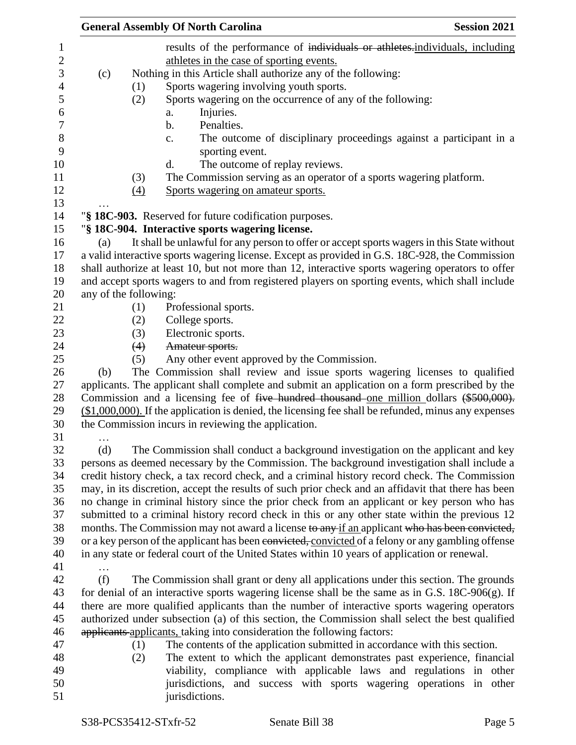|                       |                   |                 | <b>General Assembly Of North Carolina</b>                                                              |  |  | <b>Session 2021</b> |  |
|-----------------------|-------------------|-----------------|--------------------------------------------------------------------------------------------------------|--|--|---------------------|--|
|                       |                   |                 | results of the performance of individuals or athletes.individuals, including                           |  |  |                     |  |
|                       |                   |                 | athletes in the case of sporting events.                                                               |  |  |                     |  |
| (c)                   |                   |                 | Nothing in this Article shall authorize any of the following:                                          |  |  |                     |  |
|                       | (1)               |                 | Sports wagering involving youth sports.                                                                |  |  |                     |  |
|                       | (2)               |                 | Sports wagering on the occurrence of any of the following:                                             |  |  |                     |  |
|                       |                   | a.              | Injuries.                                                                                              |  |  |                     |  |
|                       |                   | $\mathbf b$ .   | Penalties.                                                                                             |  |  |                     |  |
|                       |                   | $\mathbf{c}$ .  | The outcome of disciplinary proceedings against a participant in a                                     |  |  |                     |  |
|                       |                   |                 | sporting event.                                                                                        |  |  |                     |  |
|                       |                   | d.              | The outcome of replay reviews.                                                                         |  |  |                     |  |
|                       | (3)               |                 | The Commission serving as an operator of a sports wagering platform.                                   |  |  |                     |  |
|                       | $\underline{(4)}$ |                 | Sports wagering on amateur sports.                                                                     |  |  |                     |  |
|                       |                   |                 | "§ 18C-903. Reserved for future codification purposes.                                                 |  |  |                     |  |
|                       |                   |                 | "§ 18C-904. Interactive sports wagering license.                                                       |  |  |                     |  |
| (a)                   |                   |                 | It shall be unlawful for any person to offer or accept sports wagers in this State without             |  |  |                     |  |
|                       |                   |                 | a valid interactive sports wagering license. Except as provided in G.S. 18C-928, the Commission        |  |  |                     |  |
|                       |                   |                 | shall authorize at least 10, but not more than 12, interactive sports wagering operators to offer      |  |  |                     |  |
|                       |                   |                 | and accept sports wagers to and from registered players on sporting events, which shall include        |  |  |                     |  |
| any of the following: |                   |                 |                                                                                                        |  |  |                     |  |
|                       | (1)               |                 | Professional sports.                                                                                   |  |  |                     |  |
|                       | (2)               | College sports. |                                                                                                        |  |  |                     |  |
|                       | (3)               |                 | Electronic sports.                                                                                     |  |  |                     |  |
|                       | (4)               | Amateur sports. |                                                                                                        |  |  |                     |  |
|                       | (5)               |                 | Any other event approved by the Commission.                                                            |  |  |                     |  |
| (b)                   |                   |                 | The Commission shall review and issue sports wagering licenses to qualified                            |  |  |                     |  |
|                       |                   |                 | applicants. The applicant shall complete and submit an application on a form prescribed by the         |  |  |                     |  |
|                       |                   |                 | Commission and a licensing fee of five hundred thousand one million dollars (\$500,000).               |  |  |                     |  |
|                       |                   |                 | $($1,000,000)$ . If the application is denied, the licensing fee shall be refunded, minus any expenses |  |  |                     |  |
|                       |                   |                 | the Commission incurs in reviewing the application.                                                    |  |  |                     |  |
| .                     |                   |                 |                                                                                                        |  |  |                     |  |
| (d)                   |                   |                 | The Commission shall conduct a background investigation on the applicant and key                       |  |  |                     |  |
|                       |                   |                 | persons as deemed necessary by the Commission. The background investigation shall include a            |  |  |                     |  |
|                       |                   |                 | credit history check, a tax record check, and a criminal history record check. The Commission          |  |  |                     |  |
|                       |                   |                 | may, in its discretion, accept the results of such prior check and an affidavit that there has been    |  |  |                     |  |
|                       |                   |                 | no change in criminal history since the prior check from an applicant or key person who has            |  |  |                     |  |
|                       |                   |                 | submitted to a criminal history record check in this or any other state within the previous 12         |  |  |                     |  |
|                       |                   |                 | months. The Commission may not award a license to any if an applicant who has been convicted,          |  |  |                     |  |
|                       |                   |                 | or a key person of the applicant has been convicted, convicted of a felony or any gambling offense     |  |  |                     |  |
|                       |                   |                 | in any state or federal court of the United States within 10 years of application or renewal.          |  |  |                     |  |
| $\cdots$              |                   |                 |                                                                                                        |  |  |                     |  |
| (f)                   |                   |                 | The Commission shall grant or deny all applications under this section. The grounds                    |  |  |                     |  |
|                       |                   |                 | for denial of an interactive sports wagering license shall be the same as in G.S. $18C-906(g)$ . If    |  |  |                     |  |
|                       |                   |                 | there are more qualified applicants than the number of interactive sports wagering operators           |  |  |                     |  |
|                       |                   |                 | authorized under subsection (a) of this section, the Commission shall select the best qualified        |  |  |                     |  |
|                       |                   |                 | applicants applicants, taking into consideration the following factors:                                |  |  |                     |  |
|                       | (1)               |                 | The contents of the application submitted in accordance with this section.                             |  |  |                     |  |
|                       | (2)               |                 | The extent to which the applicant demonstrates past experience, financial                              |  |  |                     |  |
|                       |                   |                 | viability, compliance with applicable laws and regulations in other                                    |  |  |                     |  |
|                       |                   |                 | jurisdictions, and success with sports wagering operations in other                                    |  |  |                     |  |
|                       |                   | jurisdictions.  |                                                                                                        |  |  |                     |  |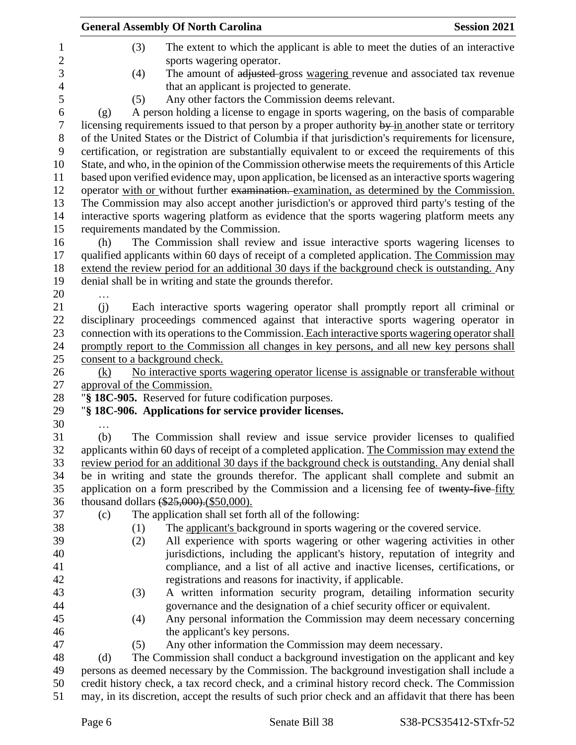|                | <b>General Assembly Of North Carolina</b><br><b>Session 2021</b>                                             |
|----------------|--------------------------------------------------------------------------------------------------------------|
| 1              | The extent to which the applicant is able to meet the duties of an interactive<br>(3)                        |
| $\overline{c}$ | sports wagering operator.                                                                                    |
| 3              | The amount of adjusted gross wagering revenue and associated tax revenue<br>(4)                              |
| $\overline{4}$ | that an applicant is projected to generate.                                                                  |
| 5              | Any other factors the Commission deems relevant.<br>(5)                                                      |
| 6              | A person holding a license to engage in sports wagering, on the basis of comparable<br>(g)                   |
| 7              | licensing requirements issued to that person by a proper authority $\frac{by}{m}$ another state or territory |
| 8              | of the United States or the District of Columbia if that jurisdiction's requirements for licensure,          |
| 9              | certification, or registration are substantially equivalent to or exceed the requirements of this            |
| 10             | State, and who, in the opinion of the Commission otherwise meets the requirements of this Article            |
| 11             | based upon verified evidence may, upon application, be licensed as an interactive sports wagering            |
| 12             | operator with or without further examination. examination, as determined by the Commission.                  |
| 13             | The Commission may also accept another jurisdiction's or approved third party's testing of the               |
| 14             | interactive sports wagering platform as evidence that the sports wagering platform meets any                 |
| 15             | requirements mandated by the Commission.                                                                     |
| 16             | The Commission shall review and issue interactive sports wagering licenses to<br>(h)                         |
| 17             | qualified applicants within 60 days of receipt of a completed application. The Commission may                |
| 18             | extend the review period for an additional 30 days if the background check is outstanding. Any               |
| 19             | denial shall be in writing and state the grounds therefor.                                                   |
| 20             |                                                                                                              |
| 21             | (i)<br>Each interactive sports wagering operator shall promptly report all criminal or                       |
| 22             | disciplinary proceedings commenced against that interactive sports wagering operator in                      |
| 23             | connection with its operations to the Commission. Each interactive sports wagering operator shall            |
| 24             | promptly report to the Commission all changes in key persons, and all new key persons shall                  |
| 25             | consent to a background check.                                                                               |
| 26             | No interactive sports wagering operator license is assignable or transferable without<br>(k)                 |
| 27             | approval of the Commission.                                                                                  |
| 28             | "§ 18C-905. Reserved for future codification purposes.                                                       |
| 29             | "§ 18C-906. Applications for service provider licenses.                                                      |
| 30             |                                                                                                              |
| 31             | The Commission shall review and issue service provider licenses to qualified<br>(b)                          |
| 32             | applicants within 60 days of receipt of a completed application. The Commission may extend the               |
| 33             | review period for an additional 30 days if the background check is outstanding. Any denial shall             |
| 34             | be in writing and state the grounds therefor. The applicant shall complete and submit an                     |
| 35             | application on a form prescribed by the Commission and a licensing fee of twenty-five-fifty                  |
| 36             | thousand dollars (\$25,000). (\$50,000).                                                                     |
| 37             | The application shall set forth all of the following:<br>(c)                                                 |
| 38             | The applicant's background in sports wagering or the covered service.<br>(1)                                 |
| 39             | All experience with sports wagering or other wagering activities in other<br>(2)                             |
| 40             | jurisdictions, including the applicant's history, reputation of integrity and                                |
| 41             | compliance, and a list of all active and inactive licenses, certifications, or                               |
| 42             | registrations and reasons for inactivity, if applicable.                                                     |
| 43             | A written information security program, detailing information security<br>(3)                                |
| 44             | governance and the designation of a chief security officer or equivalent.                                    |
| 45             | Any personal information the Commission may deem necessary concerning<br>(4)                                 |
| 46             | the applicant's key persons.                                                                                 |
| 47             | Any other information the Commission may deem necessary.<br>(5)                                              |
| 48             | The Commission shall conduct a background investigation on the applicant and key<br>(d)                      |
| 49             | persons as deemed necessary by the Commission. The background investigation shall include a                  |
| 50             | credit history check, a tax record check, and a criminal history record check. The Commission                |
| 51             | may, in its discretion, accept the results of such prior check and an affidavit that there has been          |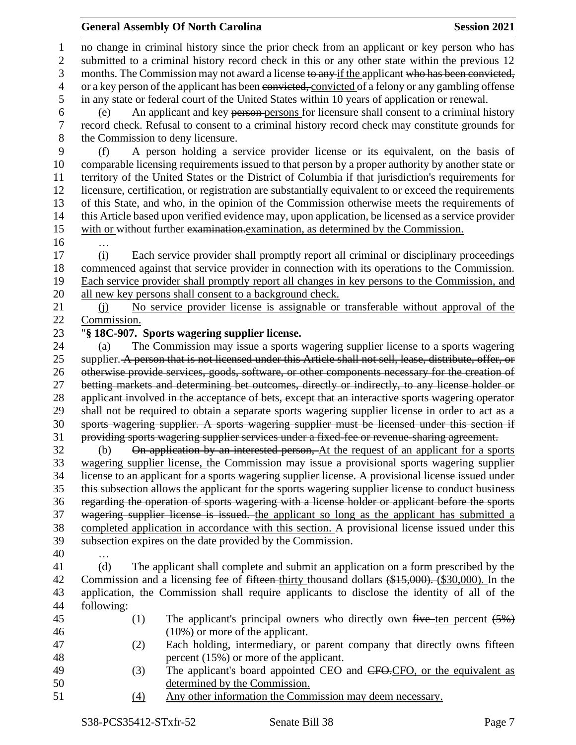## **General Assembly Of North Carolina Session 2021**

 no change in criminal history since the prior check from an applicant or key person who has submitted to a criminal history record check in this or any other state within the previous 12 3 months. The Commission may not award a license to any if the applicant who has been convicted, 4 or a key person of the applicant has been convicted, convicted of a felony or any gambling offense in any state or federal court of the United States within 10 years of application or renewal. (e) An applicant and key person persons for licensure shall consent to a criminal history record check. Refusal to consent to a criminal history record check may constitute grounds for the Commission to deny licensure. (f) A person holding a service provider license or its equivalent, on the basis of comparable licensing requirements issued to that person by a proper authority by another state or territory of the United States or the District of Columbia if that jurisdiction's requirements for licensure, certification, or registration are substantially equivalent to or exceed the requirements of this State, and who, in the opinion of the Commission otherwise meets the requirements of this Article based upon verified evidence may, upon application, be licensed as a service provider with or without further examination.examination, as determined by the Commission. … (i) Each service provider shall promptly report all criminal or disciplinary proceedings commenced against that service provider in connection with its operations to the Commission. Each service provider shall promptly report all changes in key persons to the Commission, and all new key persons shall consent to a background check. 21 (j) No service provider license is assignable or transferable without approval of the Commission. "**§ 18C-907. Sports wagering supplier license.** (a) The Commission may issue a sports wagering supplier license to a sports wagering 25 supplier. A person that is not licensed under this Article shall not sell, lease, distribute, offer, or otherwise provide services, goods, software, or other components necessary for the creation of betting markets and determining bet outcomes, directly or indirectly, to any license holder or 28 applicant involved in the acceptance of bets, except that an interactive sports wagering operator shall not be required to obtain a separate sports wagering supplier license in order to act as a sports wagering supplier. A sports wagering supplier must be licensed under this section if providing sports wagering supplier services under a fixed-fee or revenue-sharing agreement. (b) On application by an interested person, At the request of an applicant for a sports wagering supplier license, the Commission may issue a provisional sports wagering supplier license to an applicant for a sports wagering supplier license. A provisional license issued under this subsection allows the applicant for the sports wagering supplier license to conduct business regarding the operation of sports wagering with a license holder or applicant before the sports wagering supplier license is issued. the applicant so long as the applicant has submitted a completed application in accordance with this section. A provisional license issued under this subsection expires on the date provided by the Commission. … (d) The applicant shall complete and submit an application on a form prescribed by the 42 Commission and a licensing fee of <del>fifteen</del>-thirty thousand dollars (\$15,000). (\$30,000). In the application, the Commission shall require applicants to disclose the identity of all of the following: 45 (1) The applicant's principal owners who directly own  $f^2$  five ten percent  $(5\%)$  (10%) or more of the applicant. (2) Each holding, intermediary, or parent company that directly owns fifteen percent (15%) or more of the applicant. 49 (3) The applicant's board appointed CEO and CFO.CFO, or the equivalent as determined by the Commission. (4) Any other information the Commission may deem necessary.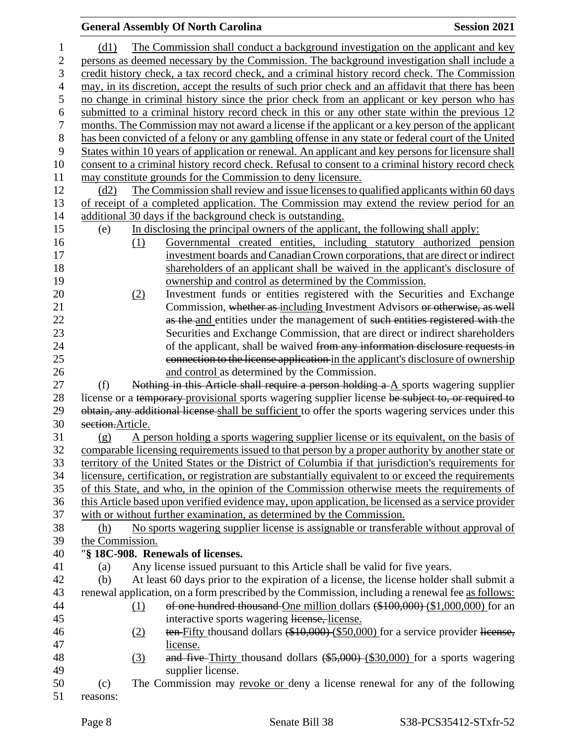## **General Assembly Of North Carolina Session 2021**  (d1) The Commission shall conduct a background investigation on the applicant and key 2 persons as deemed necessary by the Commission. The background investigation shall include a credit history check, a tax record check, and a criminal history record check. The Commission may, in its discretion, accept the results of such prior check and an affidavit that there has been no change in criminal history since the prior check from an applicant or key person who has submitted to a criminal history record check in this or any other state within the previous 12 months. The Commission may not award a license if the applicant or a key person of the applicant has been convicted of a felony or any gambling offense in any state or federal court of the United States within 10 years of application or renewal. An applicant and key persons for licensure shall consent to a criminal history record check. Refusal to consent to a criminal history record check may constitute grounds for the Commission to deny licensure. (d2) The Commission shall review and issue licenses to qualified applicants within 60 days of receipt of a completed application. The Commission may extend the review period for an additional 30 days if the background check is outstanding. (e) In disclosing the principal owners of the applicant, the following shall apply: (1) Governmental created entities, including statutory authorized pension investment boards andCanadianCrown corporations, that are direct orindirect shareholders of an applicant shall be waived in the applicant's disclosure of ownership and control as determined by the Commission. (2) Investment funds or entities registered with the Securities and Exchange 21 Commission, whether as including Investment Advisors or otherwise, as well 22 as the and entities under the management of such entities registered with the Securities and Exchange Commission, that are direct or indirect shareholders 24 of the applicant, shall be waived from any information disclosure requests in connection to the license application in the applicant's disclosure of ownership and control as determined by the Commission. (f) Nothing in this Article shall require a person holding a A sports wagering supplier 28 license or a temporary provisional sports wagering supplier license be subject to, or required to 29 obtain, any additional license shall be sufficient to offer the sports wagering services under this section.Article. (g) A person holding a sports wagering supplier license or its equivalent, on the basis of comparable licensing requirements issued to that person by a proper authority by another state or territory of the United States or the District of Columbia if that jurisdiction's requirements for licensure, certification, or registration are substantially equivalent to or exceed the requirements of this State, and who, in the opinion of the Commission otherwise meets the requirements of this Article based upon verified evidence may, upon application, be licensed as a service provider with or without further examination, as determined by the Commission. (h) No sports wagering supplier license is assignable or transferable without approval of the Commission. "**§ 18C-908. Renewals of licenses.** (a) Any license issued pursuant to this Article shall be valid for five years. (b) At least 60 days prior to the expiration of a license, the license holder shall submit a renewal application, on a form prescribed by the Commission, including a renewal fee as follows: 44 (1) of one hundred thousand One million dollars (\$100,000) (\$1,000,000) for an interactive sports wagering license, license. 46 (2) ten Fifty thousand dollars (\$10,000) (\$50,000) for a service provider license, license. 48 (3) and five Thirty thousand dollars (\$5,000) (\$30,000) for a sports wagering supplier license. (c) The Commission may revoke or deny a license renewal for any of the following reasons: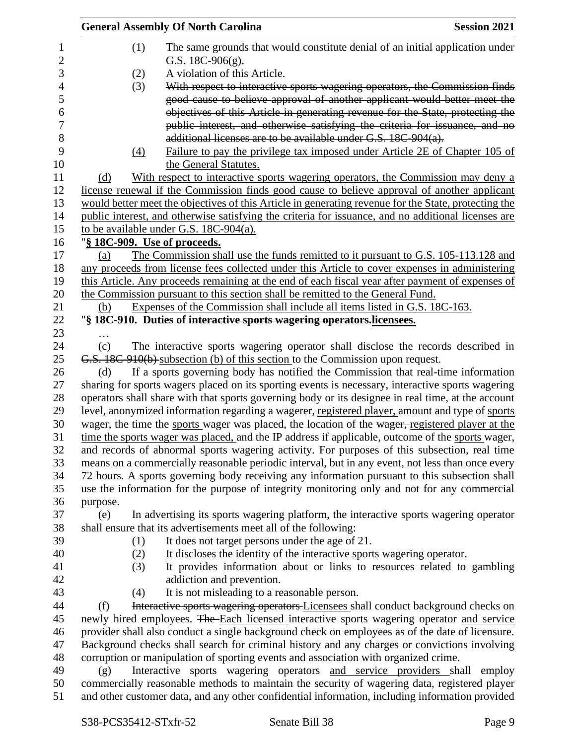|                              | <b>General Assembly Of North Carolina</b>                                      | <b>Session 2021</b>                                                                                                                           |
|------------------------------|--------------------------------------------------------------------------------|-----------------------------------------------------------------------------------------------------------------------------------------------|
| (1)                          | G.S. $18C-906(g)$ .                                                            | The same grounds that would constitute denial of an initial application under                                                                 |
| (2)                          | A violation of this Article.                                                   |                                                                                                                                               |
| (3)                          |                                                                                | With respect to interactive sports wagering operators, the Commission finds                                                                   |
|                              |                                                                                | good cause to believe approval of another applicant would better meet the                                                                     |
|                              |                                                                                | objectives of this Article in generating revenue for the State, protecting the                                                                |
|                              |                                                                                | public interest, and otherwise satisfying the criteria for issuance, and no<br>additional licenses are to be available under G.S. 18C-904(a). |
| $\Delta$                     |                                                                                | Failure to pay the privilege tax imposed under Article 2E of Chapter 105 of                                                                   |
|                              | the General Statutes.                                                          |                                                                                                                                               |
| (d)                          |                                                                                | With respect to interactive sports wagering operators, the Commission may deny a                                                              |
|                              |                                                                                | license renewal if the Commission finds good cause to believe approval of another applicant                                                   |
|                              |                                                                                | would better meet the objectives of this Article in generating revenue for the State, protecting the                                          |
|                              |                                                                                | public interest, and otherwise satisfying the criteria for issuance, and no additional licenses are                                           |
|                              | to be available under G.S. 18C-904(a).                                         |                                                                                                                                               |
| "§ 18C-909. Use of proceeds. |                                                                                |                                                                                                                                               |
| (a)                          |                                                                                | The Commission shall use the funds remitted to it pursuant to G.S. 105-113.128 and                                                            |
|                              |                                                                                | any proceeds from license fees collected under this Article to cover expenses in administering                                                |
|                              |                                                                                | this Article. Any proceeds remaining at the end of each fiscal year after payment of expenses of                                              |
|                              | the Commission pursuant to this section shall be remitted to the General Fund. |                                                                                                                                               |
| (b)                          |                                                                                | Expenses of the Commission shall include all items listed in G.S. 18C-163.                                                                    |
|                              | "§ 18C-910. Duties of interactive sports wagering operators.licensees.         |                                                                                                                                               |
|                              |                                                                                |                                                                                                                                               |
| (c)                          |                                                                                | The interactive sports wagering operator shall disclose the records described in                                                              |
|                              | G.S. 18C-910(b) subsection (b) of this section to the Commission upon request. |                                                                                                                                               |
| (d)                          |                                                                                | If a sports governing body has notified the Commission that real-time information                                                             |
|                              |                                                                                | sharing for sports wagers placed on its sporting events is necessary, interactive sports wagering                                             |
|                              |                                                                                | operators shall share with that sports governing body or its designee in real time, at the account                                            |
|                              |                                                                                | level, anonymized information regarding a wagerer, registered player, amount and type of sports                                               |
|                              |                                                                                | wager, the time the sports wager was placed, the location of the wager, registered player at the                                              |
|                              |                                                                                | time the sports wager was placed, and the IP address if applicable, outcome of the sports wager,                                              |
|                              |                                                                                | and records of abnormal sports wagering activity. For purposes of this subsection, real time                                                  |
|                              |                                                                                | means on a commercially reasonable periodic interval, but in any event, not less than once every                                              |
|                              |                                                                                | 72 hours. A sports governing body receiving any information pursuant to this subsection shall                                                 |
|                              |                                                                                | use the information for the purpose of integrity monitoring only and not for any commercial                                                   |
| purpose.                     |                                                                                |                                                                                                                                               |
| (e)                          |                                                                                | In advertising its sports wagering platform, the interactive sports wagering operator                                                         |
|                              | shall ensure that its advertisements meet all of the following:                |                                                                                                                                               |
| (1)                          | It does not target persons under the age of 21.                                |                                                                                                                                               |
| (2)                          |                                                                                | It discloses the identity of the interactive sports wagering operator.                                                                        |
| (3)                          |                                                                                | It provides information about or links to resources related to gambling                                                                       |
|                              | addiction and prevention.                                                      |                                                                                                                                               |
| (4)                          | It is not misleading to a reasonable person.                                   |                                                                                                                                               |
| (f)                          |                                                                                | Interactive sports wagering operators Licensees shall conduct background checks on                                                            |
|                              |                                                                                | newly hired employees. The Each licensed interactive sports wagering operator and service                                                     |
|                              |                                                                                | provider shall also conduct a single background check on employees as of the date of licensure.                                               |
|                              |                                                                                | Background checks shall search for criminal history and any charges or convictions involving                                                  |
|                              |                                                                                | corruption or manipulation of sporting events and association with organized crime.                                                           |
| (g)                          |                                                                                | Interactive sports wagering operators and service providers shall employ                                                                      |
|                              |                                                                                | commercially reasonable methods to maintain the security of wagering data, registered player                                                  |
|                              |                                                                                | and other customer data, and any other confidential information, including information provided                                               |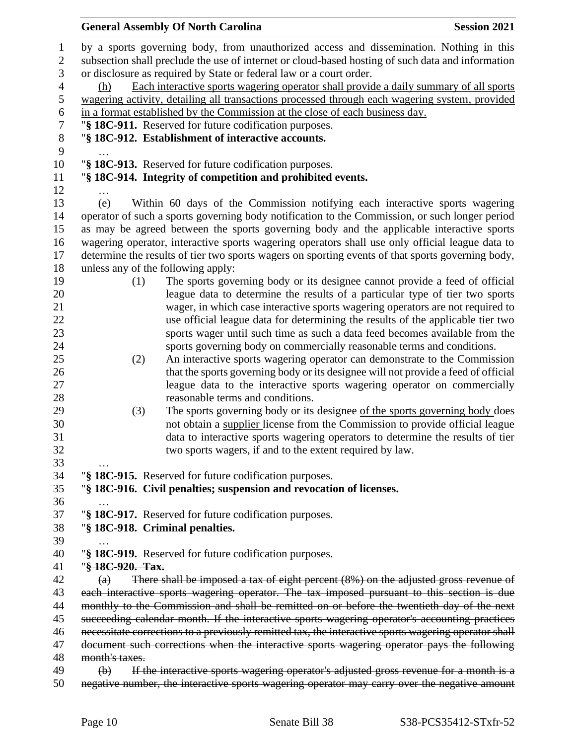| <b>General Assembly Of North Carolina</b>                                                                                     | <b>Session 2021</b> |
|-------------------------------------------------------------------------------------------------------------------------------|---------------------|
| by a sports governing body, from unauthorized access and dissemination. Nothing in this                                       |                     |
| subsection shall preclude the use of internet or cloud-based hosting of such data and information                             |                     |
| or disclosure as required by State or federal law or a court order.                                                           |                     |
| Each interactive sports wagering operator shall provide a daily summary of all sports<br>(h)                                  |                     |
| wagering activity, detailing all transactions processed through each wagering system, provided                                |                     |
| in a format established by the Commission at the close of each business day.                                                  |                     |
| "§ 18C-911. Reserved for future codification purposes.                                                                        |                     |
| "§ 18C-912. Establishment of interactive accounts.                                                                            |                     |
|                                                                                                                               |                     |
| "§ 18C-913. Reserved for future codification purposes.                                                                        |                     |
| "§ 18C-914. Integrity of competition and prohibited events.                                                                   |                     |
|                                                                                                                               |                     |
| Within 60 days of the Commission notifying each interactive sports wagering<br>(e)                                            |                     |
| operator of such a sports governing body notification to the Commission, or such longer period                                |                     |
| as may be agreed between the sports governing body and the applicable interactive sports                                      |                     |
| wagering operator, interactive sports wagering operators shall use only official league data to                               |                     |
| determine the results of tier two sports wagers on sporting events of that sports governing body,                             |                     |
| unless any of the following apply:                                                                                            |                     |
| The sports governing body or its designee cannot provide a feed of official<br>(1)                                            |                     |
| league data to determine the results of a particular type of tier two sports                                                  |                     |
| wager, in which case interactive sports wagering operators are not required to                                                |                     |
| use official league data for determining the results of the applicable tier two                                               |                     |
| sports wager until such time as such a data feed becomes available from the                                                   |                     |
| sports governing body on commercially reasonable terms and conditions.                                                        |                     |
| (2)<br>An interactive sports wagering operator can demonstrate to the Commission                                              |                     |
| that the sports governing body or its designee will not provide a feed of official                                            |                     |
| league data to the interactive sports wagering operator on commercially                                                       |                     |
| reasonable terms and conditions.                                                                                              |                     |
| The sports governing body or its designee of the sports governing body does<br>(3)                                            |                     |
| not obtain a supplier license from the Commission to provide official league                                                  |                     |
| data to interactive sports wagering operators to determine the results of tier                                                |                     |
| two sports wagers, if and to the extent required by law.                                                                      |                     |
|                                                                                                                               |                     |
| "§ 18C-915. Reserved for future codification purposes.<br>"§ 18C-916. Civil penalties; suspension and revocation of licenses. |                     |
|                                                                                                                               |                     |
| "§ 18C-917. Reserved for future codification purposes.                                                                        |                     |
| "§ 18C-918. Criminal penalties.                                                                                               |                     |
|                                                                                                                               |                     |
| "§ 18C-919. Reserved for future codification purposes.                                                                        |                     |
| "§18C-920. Tax.                                                                                                               |                     |
| There shall be imposed a tax of eight percent $(8\%)$ on the adjusted gross revenue of<br>$\left( a\right)$                   |                     |
| each interactive sports wagering operator. The tax imposed pursuant to this section is due                                    |                     |
| monthly to the Commission and shall be remitted on or before the twentieth day of the next                                    |                     |
| succeeding calendar month. If the interactive sports wagering operator's accounting practices                                 |                     |
| necessitate corrections to a previously remitted tax, the interactive sports wagering operator shall                          |                     |
| document such corrections when the interactive sports wagering operator pays the following                                    |                     |
| month's taxes.                                                                                                                |                     |
| If the interactive sports wagering operator's adjusted gross revenue for a month is a<br>$\Theta$                             |                     |
|                                                                                                                               |                     |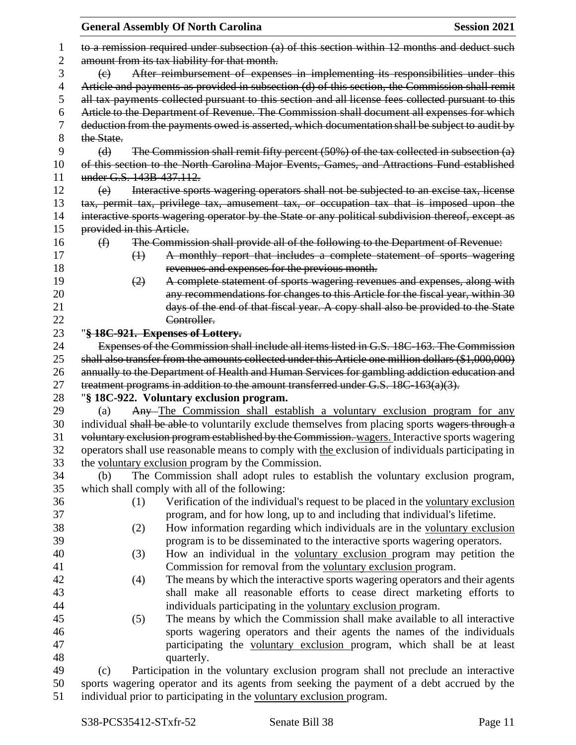|    |                           | <b>General Assembly Of North Carolina</b>                                                           | <b>Session 2021</b> |
|----|---------------------------|-----------------------------------------------------------------------------------------------------|---------------------|
| 1  |                           | to a remission required under subsection (a) of this section within 12 months and deduct such       |                     |
| 2  |                           | amount from its tax liability for that month.                                                       |                     |
| 3  | $\left(\mathrm{e}\right)$ | After reimbursement of expenses in implementing its responsibilities under this                     |                     |
| 4  |                           | Article and payments as provided in subsection (d) of this section, the Commission shall remit      |                     |
| 5  |                           | all tax payments collected pursuant to this section and all license fees collected pursuant to this |                     |
| 6  |                           | Article to the Department of Revenue. The Commission shall document all expenses for which          |                     |
| 7  |                           | deduction from the payments owed is asserted, which documentation shall be subject to audit by      |                     |
| 8  | the State.                |                                                                                                     |                     |
| 9  | (d)                       | The Commission shall remit fifty percent (50%) of the tax collected in subsection (a)               |                     |
| 10 |                           | of this section to the North Carolina Major Events, Games, and Attractions Fund established         |                     |
| 11 | under G.S. 143B-437.112.  |                                                                                                     |                     |
| 12 | (e)                       | Interactive sports wagering operators shall not be subjected to an excise tax, license              |                     |
| 13 |                           | tax, permit tax, privilege tax, amusement tax, or occupation tax that is imposed upon the           |                     |
| 14 |                           | interactive sports wagering operator by the State or any political subdivision thereof, except as   |                     |
| 15 | provided in this Article. |                                                                                                     |                     |
| 16 | $\bigoplus$               | The Commission shall provide all of the following to the Department of Revenue:                     |                     |
| 17 | $\leftrightarrow$         | A monthly report that includes a complete statement of sports wagering                              |                     |
| 18 |                           | revenues and expenses for the previous month.                                                       |                     |
| 19 | (2)                       | A complete statement of sports wagering revenues and expenses, along with                           |                     |
| 20 |                           | any recommendations for changes to this Article for the fiscal year, within 30                      |                     |
| 21 |                           | days of the end of that fiscal year. A copy shall also be provided to the State                     |                     |
| 22 |                           | Controller.                                                                                         |                     |
| 23 |                           | "§ 18C-921. Expenses of Lottery.                                                                    |                     |
| 24 |                           | Expenses of the Commission shall include all items listed in G.S. 18C-163. The Commission           |                     |
| 25 |                           | shall also transfer from the amounts collected under this Article one million dollars (\$1,000,000) |                     |
| 26 |                           | annually to the Department of Health and Human Services for gambling addiction education and        |                     |
| 27 |                           | treatment programs in addition to the amount transferred under G.S. 18C-163(a)(3).                  |                     |
| 28 |                           | "§ 18C-922. Voluntary exclusion program.                                                            |                     |
| 29 | (a)                       | Any-The Commission shall establish a voluntary exclusion program for any                            |                     |
| 30 |                           | individual shall be able to voluntarily exclude themselves from placing sports wagers through a     |                     |
| 31 |                           | voluntary exclusion program established by the Commission. wagers. Interactive sports wagering      |                     |
| 32 |                           | operators shall use reasonable means to comply with the exclusion of individuals participating in   |                     |
| 33 |                           | the voluntary exclusion program by the Commission.                                                  |                     |
| 34 | (b)                       | The Commission shall adopt rules to establish the voluntary exclusion program,                      |                     |
| 35 |                           | which shall comply with all of the following:                                                       |                     |
| 36 | (1)                       | Verification of the individual's request to be placed in the voluntary exclusion                    |                     |
| 37 |                           | program, and for how long, up to and including that individual's lifetime.                          |                     |
| 38 | (2)                       | How information regarding which individuals are in the voluntary exclusion                          |                     |
| 39 |                           | program is to be disseminated to the interactive sports wagering operators.                         |                     |
| 40 | (3)                       | How an individual in the voluntary exclusion program may petition the                               |                     |
| 41 |                           | Commission for removal from the voluntary exclusion program.                                        |                     |
| 42 | (4)                       | The means by which the interactive sports wagering operators and their agents                       |                     |
| 43 |                           | shall make all reasonable efforts to cease direct marketing efforts to                              |                     |
| 44 |                           | individuals participating in the voluntary exclusion program.                                       |                     |
| 45 | (5)                       | The means by which the Commission shall make available to all interactive                           |                     |
| 46 |                           | sports wagering operators and their agents the names of the individuals                             |                     |
| 47 |                           | participating the voluntary exclusion program, which shall be at least                              |                     |
| 48 |                           | quarterly.                                                                                          |                     |
| 49 | (c)                       | Participation in the voluntary exclusion program shall not preclude an interactive                  |                     |
| 50 |                           | sports wagering operator and its agents from seeking the payment of a debt accrued by the           |                     |

51 individual prior to participating in the voluntary exclusion program.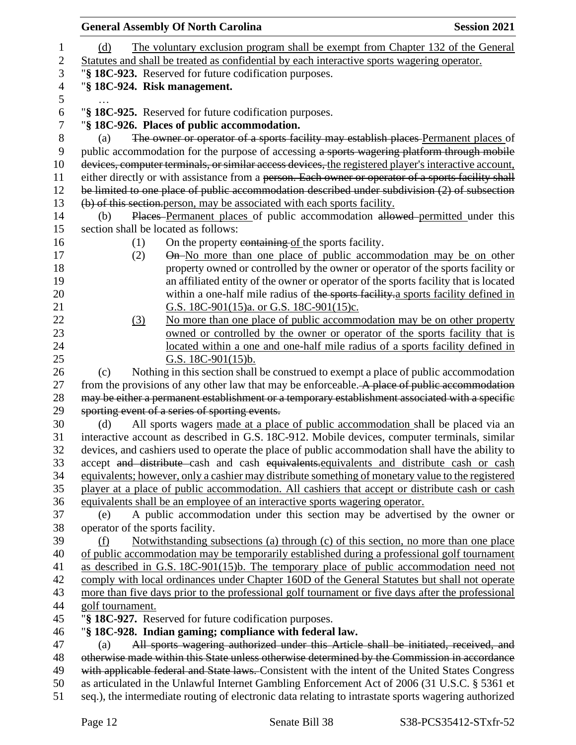|                  | <b>General Assembly Of North Carolina</b>                                                                                                                                                          | <b>Session 2021</b> |
|------------------|----------------------------------------------------------------------------------------------------------------------------------------------------------------------------------------------------|---------------------|
| 1                | The voluntary exclusion program shall be exempt from Chapter 132 of the General<br>(d)                                                                                                             |                     |
| $\boldsymbol{2}$ | Statutes and shall be treated as confidential by each interactive sports wagering operator.                                                                                                        |                     |
| 3                | "§ 18C-923. Reserved for future codification purposes.                                                                                                                                             |                     |
| $\overline{4}$   | "§ 18C-924. Risk management.                                                                                                                                                                       |                     |
| 5                |                                                                                                                                                                                                    |                     |
| 6                | "§ 18C-925. Reserved for future codification purposes.                                                                                                                                             |                     |
| 7                | "§ 18C-926. Places of public accommodation.                                                                                                                                                        |                     |
| $8\,$            | The owner or operator of a sports facility may establish places Permanent places of<br>(a)                                                                                                         |                     |
| 9                | public accommodation for the purpose of accessing a sports wagering platform through mobile                                                                                                        |                     |
| 10               | devices, computer terminals, or similar access devices, the registered player's interactive account,                                                                                               |                     |
| 11               | either directly or with assistance from a person. Each owner or operator of a sports facility shall                                                                                                |                     |
| 12               | be limited to one place of public accommodation described under subdivision $(2)$ of subsection                                                                                                    |                     |
| 13               | (b) of this section person, may be associated with each sports facility.                                                                                                                           |                     |
| 14<br>15         | Places Permanent places of public accommodation allowed permitted under this<br>(b)<br>section shall be located as follows:                                                                        |                     |
| 16               | On the property containing of the sports facility.<br>(1)                                                                                                                                          |                     |
| 17               | On-No more than one place of public accommodation may be on other<br>(2)                                                                                                                           |                     |
| 18               | property owned or controlled by the owner or operator of the sports facility or                                                                                                                    |                     |
| 19               | an affiliated entity of the owner or operator of the sports facility that is located                                                                                                               |                     |
| 20               | within a one-half mile radius of the sports facility a sports facility defined in                                                                                                                  |                     |
| 21               | G.S. 18C-901(15)a. or G.S. 18C-901(15)c.                                                                                                                                                           |                     |
| 22               | No more than one place of public accommodation may be on other property<br>(3)                                                                                                                     |                     |
| 23               | owned or controlled by the owner or operator of the sports facility that is                                                                                                                        |                     |
| 24               | located within a one and one-half mile radius of a sports facility defined in                                                                                                                      |                     |
| 25               | G.S. $18C-901(15)b$ .                                                                                                                                                                              |                     |
| 26               | Nothing in this section shall be construed to exempt a place of public accommodation<br>(c)                                                                                                        |                     |
| 27               | from the provisions of any other law that may be enforceable. A place of public accommodation                                                                                                      |                     |
| 28               | may be either a permanent establishment or a temporary establishment associated with a specific                                                                                                    |                     |
| 29<br>30         | sporting event of a series of sporting events.<br>All sports wagers made at a place of public accommodation shall be placed via an<br>(d)                                                          |                     |
| 31               | interactive account as described in G.S. 18C-912. Mobile devices, computer terminals, similar                                                                                                      |                     |
| 32               | devices, and cashiers used to operate the place of public accommodation shall have the ability to                                                                                                  |                     |
| 33               | accept and distribute cash and cash equivalents.equivalents and distribute cash or cash                                                                                                            |                     |
| 34               | equivalents; however, only a cashier may distribute something of monetary value to the registered                                                                                                  |                     |
| 35               | player at a place of public accommodation. All cashiers that accept or distribute cash or cash                                                                                                     |                     |
| 36               | equivalents shall be an employee of an interactive sports wagering operator.                                                                                                                       |                     |
| 37               | A public accommodation under this section may be advertised by the owner or<br>(e)                                                                                                                 |                     |
| 38               | operator of the sports facility.                                                                                                                                                                   |                     |
| 39               | Notwithstanding subsections (a) through (c) of this section, no more than one place<br>(f)                                                                                                         |                     |
| 40               | of public accommodation may be temporarily established during a professional golf tournament                                                                                                       |                     |
| 41               | as described in G.S. 18C-901(15)b. The temporary place of public accommodation need not                                                                                                            |                     |
| 42<br>43         | comply with local ordinances under Chapter 160D of the General Statutes but shall not operate<br>more than five days prior to the professional golf tournament or five days after the professional |                     |
| 44               | golf tournament.                                                                                                                                                                                   |                     |
| 45               | "§ 18C-927. Reserved for future codification purposes.                                                                                                                                             |                     |
| 46               | "§ 18C-928. Indian gaming; compliance with federal law.                                                                                                                                            |                     |
| 47               | All sports wagering authorized under this Article shall be initiated, received, and<br>(a)                                                                                                         |                     |
| 48               | otherwise made within this State unless otherwise determined by the Commission in accordance                                                                                                       |                     |
| 49               | with applicable federal and State laws. Consistent with the intent of the United States Congress                                                                                                   |                     |
| 50               | as articulated in the Unlawful Internet Gambling Enforcement Act of 2006 (31 U.S.C. § 5361 et                                                                                                      |                     |
| 51               | seq.), the intermediate routing of electronic data relating to intrastate sports wagering authorized                                                                                               |                     |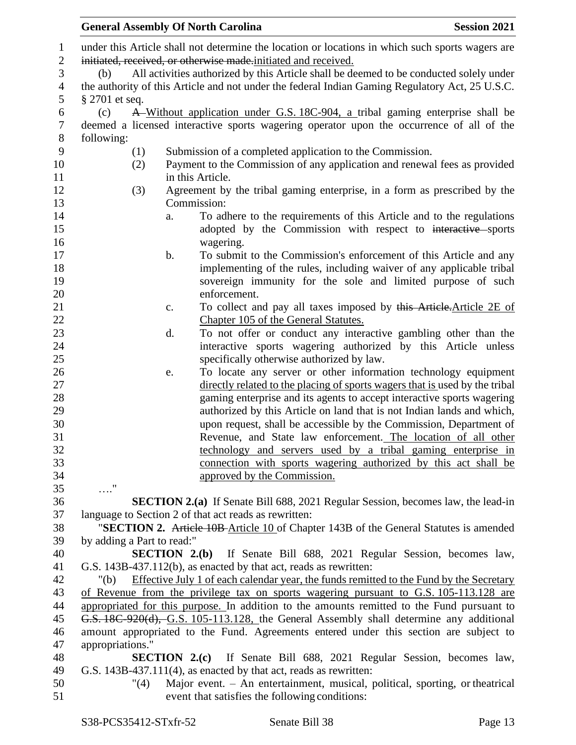|                            | <b>General Assembly Of North Carolina</b>                         | <b>Session 2021</b>                                                                                                                                                             |
|----------------------------|-------------------------------------------------------------------|---------------------------------------------------------------------------------------------------------------------------------------------------------------------------------|
|                            |                                                                   | under this Article shall not determine the location or locations in which such sports wagers are                                                                                |
|                            | initiated, received, or otherwise made initiated and received.    |                                                                                                                                                                                 |
| (b)                        |                                                                   | All activities authorized by this Article shall be deemed to be conducted solely under                                                                                          |
|                            |                                                                   | the authority of this Article and not under the federal Indian Gaming Regulatory Act, 25 U.S.C.                                                                                 |
| $\S 2701$ et seq.          |                                                                   |                                                                                                                                                                                 |
| (c)                        |                                                                   | A Without application under G.S. 18C-904, a tribal gaming enterprise shall be                                                                                                   |
|                            |                                                                   | deemed a licensed interactive sports wagering operator upon the occurrence of all of the                                                                                        |
| following:                 |                                                                   |                                                                                                                                                                                 |
| (1)                        | Submission of a completed application to the Commission.          |                                                                                                                                                                                 |
| (2)                        |                                                                   | Payment to the Commission of any application and renewal fees as provided                                                                                                       |
|                            | in this Article.                                                  |                                                                                                                                                                                 |
| (3)                        |                                                                   | Agreement by the tribal gaming enterprise, in a form as prescribed by the                                                                                                       |
|                            | Commission:                                                       |                                                                                                                                                                                 |
|                            | a.                                                                | To adhere to the requirements of this Article and to the regulations                                                                                                            |
|                            |                                                                   | adopted by the Commission with respect to interactive sports                                                                                                                    |
|                            | wagering.                                                         |                                                                                                                                                                                 |
|                            | b.                                                                | To submit to the Commission's enforcement of this Article and any                                                                                                               |
|                            |                                                                   | implementing of the rules, including waiver of any applicable tribal                                                                                                            |
|                            |                                                                   | sovereign immunity for the sole and limited purpose of such                                                                                                                     |
|                            | enforcement.                                                      |                                                                                                                                                                                 |
|                            | c.                                                                | To collect and pay all taxes imposed by this Article. Article 2E of                                                                                                             |
|                            | Chapter 105 of the General Statutes.                              |                                                                                                                                                                                 |
|                            | d.                                                                | To not offer or conduct any interactive gambling other than the                                                                                                                 |
|                            |                                                                   | interactive sports wagering authorized by this Article unless                                                                                                                   |
|                            | specifically otherwise authorized by law.                         |                                                                                                                                                                                 |
|                            | e.                                                                | To locate any server or other information technology equipment                                                                                                                  |
|                            |                                                                   | directly related to the placing of sports wagers that is used by the tribal                                                                                                     |
|                            |                                                                   | gaming enterprise and its agents to accept interactive sports wagering                                                                                                          |
|                            |                                                                   | authorized by this Article on land that is not Indian lands and which,                                                                                                          |
|                            |                                                                   | upon request, shall be accessible by the Commission, Department of                                                                                                              |
|                            |                                                                   | Revenue, and State law enforcement. The location of all other                                                                                                                   |
|                            |                                                                   | technology and servers used by a tribal gaming enterprise in                                                                                                                    |
|                            |                                                                   | connection with sports wagering authorized by this act shall be                                                                                                                 |
|                            | approved by the Commission.                                       |                                                                                                                                                                                 |
| . "                        |                                                                   |                                                                                                                                                                                 |
|                            |                                                                   | <b>SECTION 2.(a)</b> If Senate Bill 688, 2021 Regular Session, becomes law, the lead-in                                                                                         |
|                            | language to Section 2 of that act reads as rewritten:             |                                                                                                                                                                                 |
|                            |                                                                   | "SECTION 2. Article 10B-Article 10 of Chapter 143B of the General Statutes is amended                                                                                           |
| by adding a Part to read:" |                                                                   |                                                                                                                                                                                 |
|                            |                                                                   | <b>SECTION 2.(b)</b> If Senate Bill 688, 2021 Regular Session, becomes law,                                                                                                     |
|                            | G.S. 143B-437.112(b), as enacted by that act, reads as rewritten: |                                                                                                                                                                                 |
| " $(b)$                    |                                                                   | Effective July 1 of each calendar year, the funds remitted to the Fund by the Secretary                                                                                         |
|                            |                                                                   | of Revenue from the privilege tax on sports wagering pursuant to G.S. 105-113.128 are                                                                                           |
|                            |                                                                   | appropriated for this purpose. In addition to the amounts remitted to the Fund pursuant to                                                                                      |
|                            |                                                                   | G.S. 18C-920(d), G.S. 105-113.128, the General Assembly shall determine any additional<br>amount appropriated to the Fund. Agreements entered under this section are subject to |
| appropriations."           |                                                                   |                                                                                                                                                                                 |
|                            |                                                                   | <b>SECTION 2.(c)</b> If Senate Bill 688, 2021 Regular Session, becomes law,                                                                                                     |
|                            | G.S. 143B-437.111(4), as enacted by that act, reads as rewritten: |                                                                                                                                                                                 |
| "(4)                       |                                                                   | Major event. - An entertainment, musical, political, sporting, or theatrical                                                                                                    |
|                            | event that satisfies the following conditions:                    |                                                                                                                                                                                 |
|                            |                                                                   |                                                                                                                                                                                 |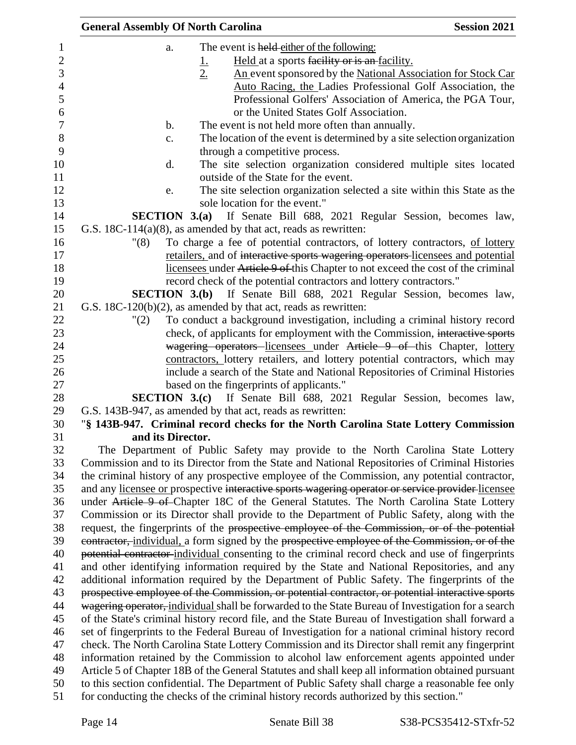| <b>General Assembly Of North Carolina</b> |                                                                                                    | <b>Session 2021</b> |
|-------------------------------------------|----------------------------------------------------------------------------------------------------|---------------------|
| a.                                        | The event is held either of the following:                                                         |                     |
|                                           | Held at a sports facility or is an facility.<br>$\overline{\mathsf{T}}$                            |                     |
|                                           | 2.<br>An event sponsored by the National Association for Stock Car                                 |                     |
|                                           | Auto Racing, the Ladies Professional Golf Association, the                                         |                     |
|                                           | Professional Golfers' Association of America, the PGA Tour,                                        |                     |
|                                           | or the United States Golf Association.                                                             |                     |
| $\mathbf b$ .                             | The event is not held more often than annually.                                                    |                     |
| c.                                        | The location of the event is determined by a site selection organization                           |                     |
|                                           | through a competitive process.                                                                     |                     |
| d.                                        | The site selection organization considered multiple sites located                                  |                     |
|                                           | outside of the State for the event.                                                                |                     |
| e.                                        | The site selection organization selected a site within this State as the                           |                     |
|                                           | sole location for the event."                                                                      |                     |
|                                           | <b>SECTION 3.(a)</b> If Senate Bill 688, 2021 Regular Session, becomes law,                        |                     |
|                                           | G.S. $18C-114(a)(8)$ , as amended by that act, reads as rewritten:                                 |                     |
| "(8)                                      | To charge a fee of potential contractors, of lottery contractors, of lottery                       |                     |
|                                           | retailers, and of interactive sports wagering operators licensees and potential                    |                     |
|                                           | licensees under Article 9 of this Chapter to not exceed the cost of the criminal                   |                     |
|                                           | record check of the potential contractors and lottery contractors."                                |                     |
|                                           | <b>SECTION 3.(b)</b> If Senate Bill 688, 2021 Regular Session, becomes law,                        |                     |
|                                           | G.S. $18C-120(b)(2)$ , as amended by that act, reads as rewritten:                                 |                     |
| "(2)                                      | To conduct a background investigation, including a criminal history record                         |                     |
|                                           | check, of applicants for employment with the Commission, interactive sports                        |                     |
|                                           | wagering operators licensees under Article 9 of this Chapter, lottery                              |                     |
|                                           | contractors, lottery retailers, and lottery potential contractors, which may                       |                     |
|                                           | include a search of the State and National Repositories of Criminal Histories                      |                     |
|                                           | based on the fingerprints of applicants."                                                          |                     |
|                                           | SECTION 3.(c) If Senate Bill 688, 2021 Regular Session, becomes law,                               |                     |
|                                           | G.S. 143B-947, as amended by that act, reads as rewritten:                                         |                     |
|                                           | "§ 143B-947. Criminal record checks for the North Carolina State Lottery Commission                |                     |
| and its Director.                         |                                                                                                    |                     |
|                                           | The Department of Public Safety may provide to the North Carolina State Lottery                    |                     |
|                                           | Commission and to its Director from the State and National Repositories of Criminal Histories      |                     |
|                                           | the criminal history of any prospective employee of the Commission, any potential contractor,      |                     |
|                                           | and any licensee or prospective interactive sports wagering operator or service provider licensee  |                     |
|                                           | under Article 9 of Chapter 18C of the General Statutes. The North Carolina State Lottery           |                     |
|                                           | Commission or its Director shall provide to the Department of Public Safety, along with the        |                     |
|                                           | request, the fingerprints of the prospective employee of the Commission, or of the potential       |                     |
|                                           | eontractor, individual, a form signed by the prospective employee of the Commission, or of the     |                     |
|                                           | potential contractor-individual consenting to the criminal record check and use of fingerprints    |                     |
|                                           | and other identifying information required by the State and National Repositories, and any         |                     |
|                                           | additional information required by the Department of Public Safety. The fingerprints of the        |                     |
|                                           | prospective employee of the Commission, or potential contractor, or potential interactive sports   |                     |
|                                           | wagering operator, individual shall be forwarded to the State Bureau of Investigation for a search |                     |
|                                           | of the State's criminal history record file, and the State Bureau of Investigation shall forward a |                     |
|                                           | set of fingerprints to the Federal Bureau of Investigation for a national criminal history record  |                     |
|                                           | check. The North Carolina State Lottery Commission and its Director shall remit any fingerprint    |                     |
|                                           | information retained by the Commission to alcohol law enforcement agents appointed under           |                     |
|                                           | Article 5 of Chapter 18B of the General Statutes and shall keep all information obtained pursuant  |                     |
|                                           | to this section confidential. The Department of Public Safety shall charge a reasonable fee only   |                     |
|                                           | for conducting the checks of the criminal history records authorized by this section."             |                     |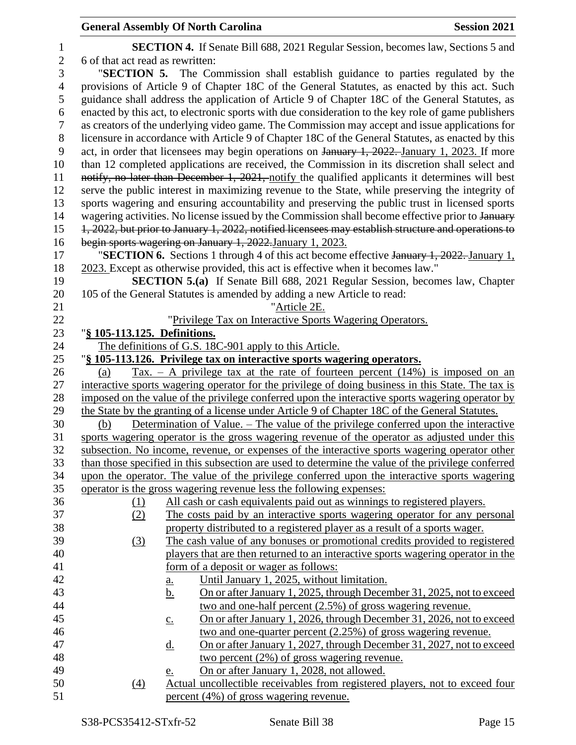| $\mathbf{1}$             |                                  | <b>SECTION 4.</b> If Senate Bill 688, 2021 Regular Session, becomes law, Sections 5 and             |
|--------------------------|----------------------------------|-----------------------------------------------------------------------------------------------------|
| $\mathbf{2}$             | 6 of that act read as rewritten: |                                                                                                     |
| 3                        |                                  | "SECTION 5. The Commission shall establish guidance to parties regulated by the                     |
| $\overline{\mathcal{A}}$ |                                  | provisions of Article 9 of Chapter 18C of the General Statutes, as enacted by this act. Such        |
| 5                        |                                  | guidance shall address the application of Article 9 of Chapter 18C of the General Statutes, as      |
| 6                        |                                  | enacted by this act, to electronic sports with due consideration to the key role of game publishers |
| $\boldsymbol{7}$         |                                  | as creators of the underlying video game. The Commission may accept and issue applications for      |
| $8\,$                    |                                  | licensure in accordance with Article 9 of Chapter 18C of the General Statutes, as enacted by this   |
| 9                        |                                  | act, in order that licensees may begin operations on January 1, 2022. January 1, 2023. If more      |
| 10                       |                                  | than 12 completed applications are received, the Commission in its discretion shall select and      |
| 11                       |                                  | notify, no later than December 1, 2021, notify the qualified applicants it determines will best     |
| 12                       |                                  | serve the public interest in maximizing revenue to the State, while preserving the integrity of     |
| 13                       |                                  | sports wagering and ensuring accountability and preserving the public trust in licensed sports      |
| 14                       |                                  | wagering activities. No license issued by the Commission shall become effective prior to January    |
| 15                       |                                  | 1, 2022, but prior to January 1, 2022, notified licensees may establish structure and operations to |
| 16                       |                                  | begin sports wagering on January 1, 2022. January 1, 2023.                                          |
| 17                       |                                  | "SECTION 6. Sections 1 through 4 of this act become effective January 1, 2022. January 1,           |
| 18                       |                                  | 2023. Except as otherwise provided, this act is effective when it becomes law."                     |
| 19                       |                                  | <b>SECTION 5.(a)</b> If Senate Bill 688, 2021 Regular Session, becomes law, Chapter                 |
| 20                       |                                  | 105 of the General Statutes is amended by adding a new Article to read:                             |
| 21                       |                                  | "Article 2E.                                                                                        |
| 22                       |                                  | "Privilege Tax on Interactive Sports Wagering Operators.                                            |
| 23                       | "§ 105-113.125. Definitions.     |                                                                                                     |
| 24                       |                                  | The definitions of G.S. 18C-901 apply to this Article.                                              |
| 25                       |                                  | "§ 105-113.126. Privilege tax on interactive sports wagering operators.                             |
| 26                       | (a)                              | $\text{Tax.} - \text{A}$ privilege tax at the rate of fourteen percent (14%) is imposed on an       |
| 27                       |                                  | interactive sports wagering operator for the privilege of doing business in this State. The tax is  |
| 28                       |                                  | imposed on the value of the privilege conferred upon the interactive sports wagering operator by    |
| 29                       |                                  | the State by the granting of a license under Article 9 of Chapter 18C of the General Statutes.      |
| 30                       | (b)                              | Determination of Value. – The value of the privilege conferred upon the interactive                 |
| 31                       |                                  | sports wagering operator is the gross wagering revenue of the operator as adjusted under this       |
| 32                       |                                  | subsection. No income, revenue, or expenses of the interactive sports wagering operator other       |
| 33                       |                                  | than those specified in this subsection are used to determine the value of the privilege conferred  |
| 34                       |                                  | upon the operator. The value of the privilege conferred upon the interactive sports wagering        |
| 35                       |                                  | operator is the gross wagering revenue less the following expenses:                                 |
| 36                       | (1)                              | All cash or cash equivalents paid out as winnings to registered players.                            |
| 37                       | (2)                              | The costs paid by an interactive sports wagering operator for any personal                          |
| 38                       |                                  | property distributed to a registered player as a result of a sports wager.                          |
| 39                       | (3)                              | The cash value of any bonuses or promotional credits provided to registered                         |
| 40                       |                                  | players that are then returned to an interactive sports wagering operator in the                    |
| 41                       |                                  | form of a deposit or wager as follows:                                                              |
| 42                       |                                  | Until January 1, 2025, without limitation.<br>a.                                                    |
| 43                       |                                  | On or after January 1, 2025, through December 31, 2025, not to exceed<br><u>b.</u>                  |
| 44                       |                                  | two and one-half percent (2.5%) of gross wagering revenue.                                          |
| 45                       |                                  | On or after January 1, 2026, through December 31, 2026, not to exceed<br>$\underline{c}$ .          |
| 46                       |                                  | two and one-quarter percent (2.25%) of gross wagering revenue.                                      |
| 47                       |                                  | On or after January 1, 2027, through December 31, 2027, not to exceed<br><u>d.</u>                  |
| 48                       |                                  | two percent $(2\%)$ of gross wagering revenue.                                                      |
| 49                       |                                  | On or after January 1, 2028, not allowed.<br>e.                                                     |
| 50                       | $\left(4\right)$                 | Actual uncollectible receivables from registered players, not to exceed four                        |
| 51                       |                                  | percent (4%) of gross wagering revenue.                                                             |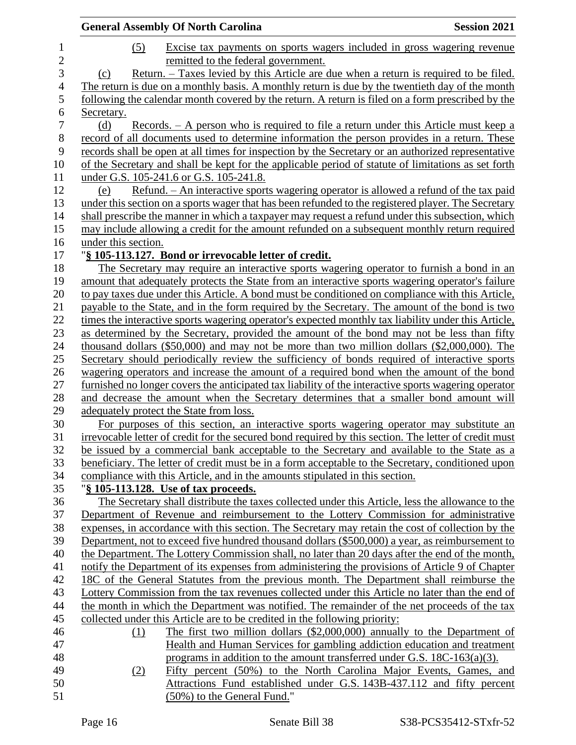|                       | <b>General Assembly Of North Carolina</b><br><b>Session 2021</b>                                                                        |
|-----------------------|-----------------------------------------------------------------------------------------------------------------------------------------|
| $\mathbf{1}$          | (5)<br>Excise tax payments on sports wagers included in gross wagering revenue                                                          |
| $\overline{c}$        | remitted to the federal government.                                                                                                     |
| 3                     | Return. – Taxes levied by this Article are due when a return is required to be filed.<br>(c)                                            |
| $\overline{4}$        | The return is due on a monthly basis. A monthly return is due by the twentieth day of the month                                         |
| 5                     | following the calendar month covered by the return. A return is filed on a form prescribed by the                                       |
| 6<br>$\boldsymbol{7}$ | Secretary.                                                                                                                              |
|                       | Records. – A person who is required to file a return under this Article must keep a<br>(d)                                              |
| $8\,$<br>9            | record of all documents used to determine information the person provides in a return. These                                            |
|                       | records shall be open at all times for inspection by the Secretary or an authorized representative                                      |
| 10                    | of the Secretary and shall be kept for the applicable period of statute of limitations as set forth                                     |
| 11<br>12              | under G.S. 105-241.6 or G.S. 105-241.8.<br>Refund. - An interactive sports wagering operator is allowed a refund of the tax paid<br>(e) |
| 13                    | under this section on a sports wager that has been refunded to the registered player. The Secretary                                     |
| 14                    | shall prescribe the manner in which a taxpayer may request a refund under this subsection, which                                        |
| 15                    | may include allowing a credit for the amount refunded on a subsequent monthly return required                                           |
| 16                    | under this section.                                                                                                                     |
| 17                    | "§ 105-113.127. Bond or irrevocable letter of credit.                                                                                   |
| 18                    | The Secretary may require an interactive sports wagering operator to furnish a bond in an                                               |
| 19                    | amount that adequately protects the State from an interactive sports wagering operator's failure                                        |
| 20                    | to pay taxes due under this Article. A bond must be conditioned on compliance with this Article,                                        |
| 21                    | payable to the State, and in the form required by the Secretary. The amount of the bond is two                                          |
| 22                    | times the interactive sports wagering operator's expected monthly tax liability under this Article,                                     |
| 23                    | as determined by the Secretary, provided the amount of the bond may not be less than fifty                                              |
| 24                    | thousand dollars $(\$50,000)$ and may not be more than two million dollars $(\$2,000,000)$ . The                                        |
| 25                    | Secretary should periodically review the sufficiency of bonds required of interactive sports                                            |
| 26                    | wagering operators and increase the amount of a required bond when the amount of the bond                                               |
| $27\,$                | furnished no longer covers the anticipated tax liability of the interactive sports wagering operator                                    |
| 28                    | and decrease the amount when the Secretary determines that a smaller bond amount will                                                   |
| 29                    | adequately protect the State from loss.                                                                                                 |
| 30                    | For purposes of this section, an interactive sports wagering operator may substitute an                                                 |
| 31                    | irrevocable letter of credit for the secured bond required by this section. The letter of credit must                                   |
| 32                    | be issued by a commercial bank acceptable to the Secretary and available to the State as a                                              |
| 33                    | beneficiary. The letter of credit must be in a form acceptable to the Secretary, conditioned upon                                       |
| 34                    | compliance with this Article, and in the amounts stipulated in this section.                                                            |
| 35                    | "§ 105-113.128. Use of tax proceeds.                                                                                                    |
| 36                    | The Secretary shall distribute the taxes collected under this Article, less the allowance to the                                        |
| 37                    | Department of Revenue and reimbursement to the Lottery Commission for administrative                                                    |
| 38                    | expenses, in accordance with this section. The Secretary may retain the cost of collection by the                                       |
| 39                    | Department, not to exceed five hundred thousand dollars (\$500,000) a year, as reimbursement to                                         |
| 40                    | the Department. The Lottery Commission shall, no later than 20 days after the end of the month,                                         |
| 41                    | notify the Department of its expenses from administering the provisions of Article 9 of Chapter                                         |
| 42                    | 18C of the General Statutes from the previous month. The Department shall reimburse the                                                 |
| 43                    | Lottery Commission from the tax revenues collected under this Article no later than the end of                                          |
| 44                    | the month in which the Department was notified. The remainder of the net proceeds of the tax                                            |
| 45                    | collected under this Article are to be credited in the following priority:                                                              |
| 46                    | The first two million dollars $(\$2,000,000)$ annually to the Department of<br>(1)                                                      |
| 47                    | Health and Human Services for gambling addiction education and treatment                                                                |
| 48                    | programs in addition to the amount transferred under G.S. $18C-163(a)(3)$ .                                                             |
| 49                    | Fifty percent (50%) to the North Carolina Major Events, Games, and<br>(2)                                                               |
| 50                    | Attractions Fund established under G.S. 143B-437.112 and fifty percent                                                                  |
| 51                    | (50%) to the General Fund."                                                                                                             |